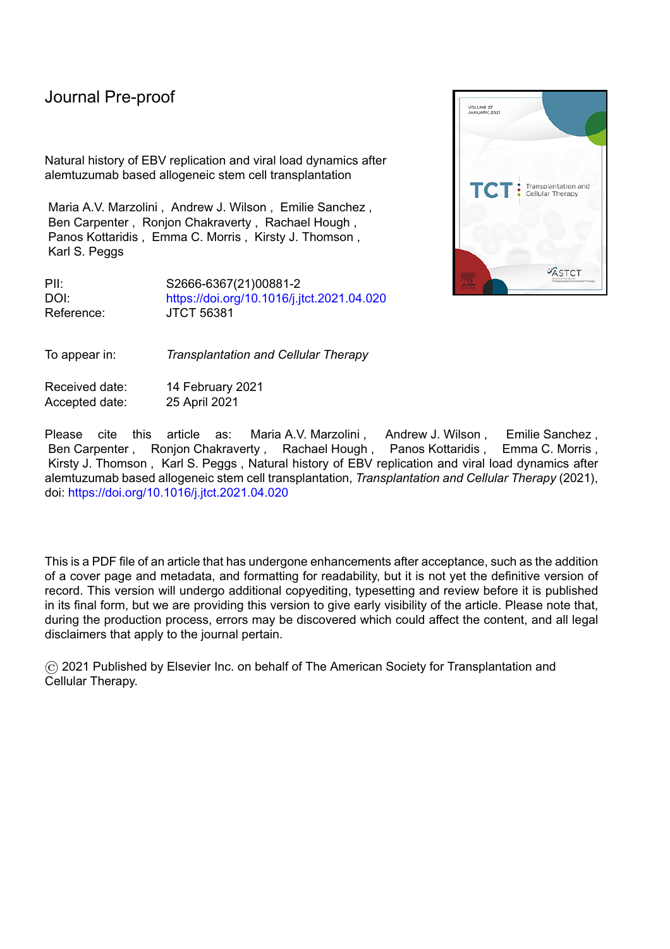Natural history of EBV replication and viral load dynamics after alemtuzumab based allogeneic stem cell transplantation

Maria A.V. Marzolini , Andrew J. Wilson , Emilie Sanchez , Ben Carpenter , Ronjon Chakraverty , Rachael Hough , Panos Kottaridis , Emma C. Morris , Kirsty J. Thomson , Karl S. Peggs

PII: S2666-6367(21)00881-2 DOI: <https://doi.org/10.1016/j.jtct.2021.04.020> Reference: JTCT 56381

To appear in: *Transplantation and Cellular Therapy*

Received date: 14 February 2021 Accepted date: 25 April 2021

Please cite this article as: Maria A.V. Marzolini , Andrew J. Wilson , Emilie Sanchez , Ben Carpenter , Ronion Chakraverty , Rachael Hough , Panos Kottaridis , Emma C. Morris , Kirsty J. Thomson , Karl S. Peggs , Natural history of EBV replication and viral load dynamics after alemtuzumab based allogeneic stem cell transplantation, *Transplantation and Cellular Therapy* (2021), doi: <https://doi.org/10.1016/j.jtct.2021.04.020>

This is a PDF file of an article that has undergone enhancements after acceptance, such as the addition of a cover page and metadata, and formatting for readability, but it is not yet the definitive version of record. This version will undergo additional copyediting, typesetting and review before it is published in its final form, but we are providing this version to give early visibility of the article. Please note that, during the production process, errors may be discovered which could affect the content, and all legal disclaimers that apply to the journal pertain.

© 2021 Published by Elsevier Inc. on behalf of The American Society for Transplantation and Cellular Therapy.

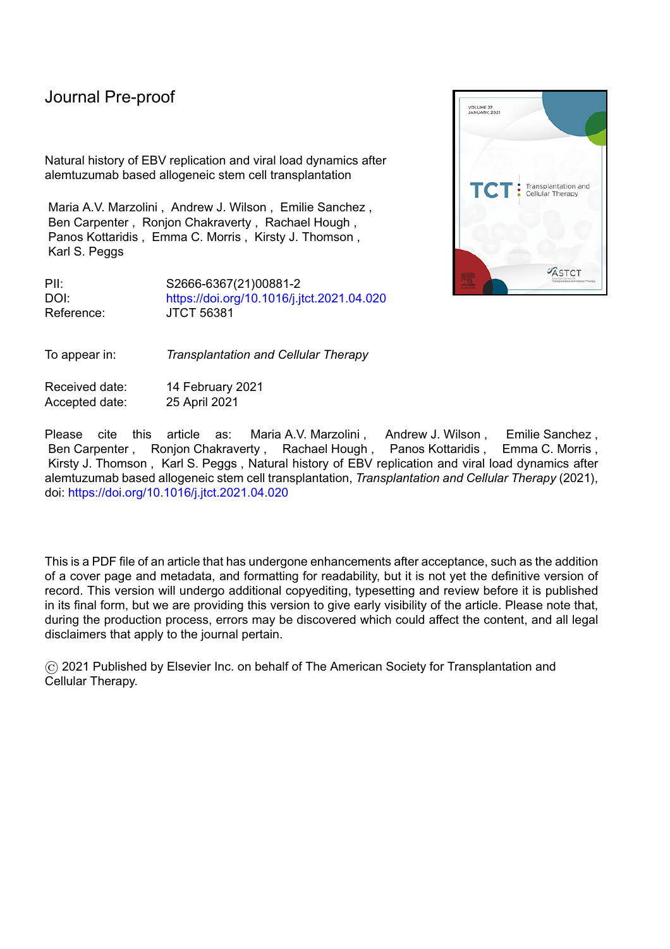## Highlights:

EBV detection post-transplant may trigger pre-emptive therapies.

- Performance of EBV PCR assays influences their utility for directing treatment.
- We report a combined assessment of EBV load and clinical signs of EBV-disease.
- This strategy may reduce overtreatment whilst not adversely affecting outcomes.

Journal Piercentos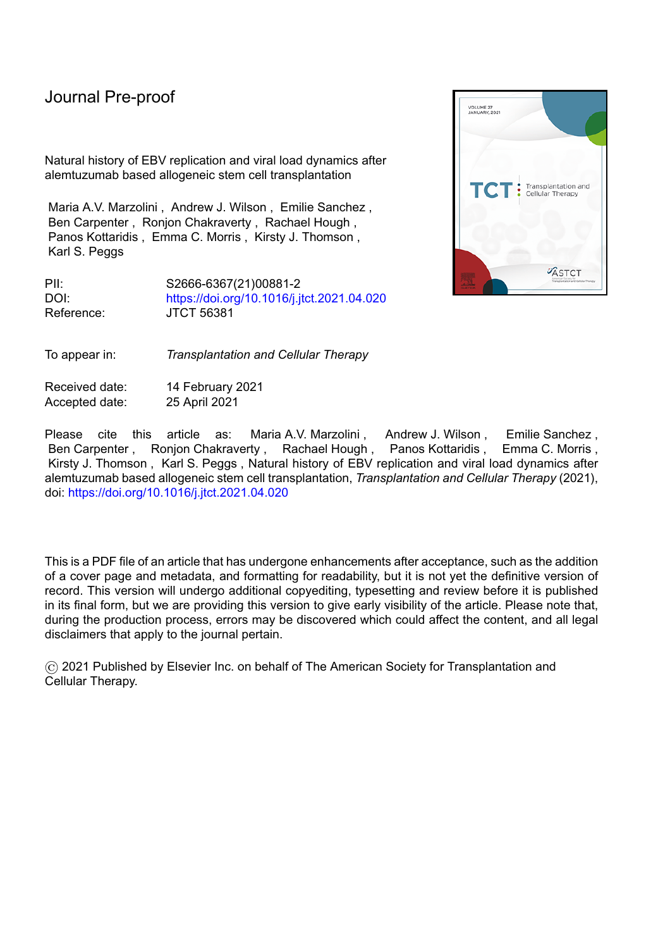#### **Abstract**

#### **Background:**

Epstein-Barr virus (EBV) load monitoring post-allogeneic haematopoietic stem cell transplantation (HSCT) enables earlier detection of EBV replication and is often used as a trigger for pre-emptive therapies aiming to reduce EBV-related diseases. Our institutional strategy is to treat patients with clinical signs of EBV-related disease accompanied by a rising viral load, rather than to intervene solely based on viral load. This affords an opportunity to study the natural history of EBV replication and to assess if our strategy reduces over-treatment without compromising outcomes.

#### **Objective:**

Our objective was to assess the natural history of untreated EBV replication in patients who have received an alemtuzumab-based allogeneic haematopoietic stem cell transplant and to examine whether our clinical strategy reduced over-treatment without compromising patient outcomes.

#### **Study Design:**

We present a retrospective, single-centre, observational study of 515 consecutive patients ( $\geq$ 18 years) undergoing T-cell depleted allogeneic haematopoietic stem cell transplantation incorporating alemtuzumab. Patients underwent surveillance monitoring for EBV by qPCR in the peripheral blood at least weekly up to 100 days post-transplant and longer if they remained on immunosuppressive therapy. Cumulative incidence of EBV detection and EBV-related disease were assessed.

**Results:**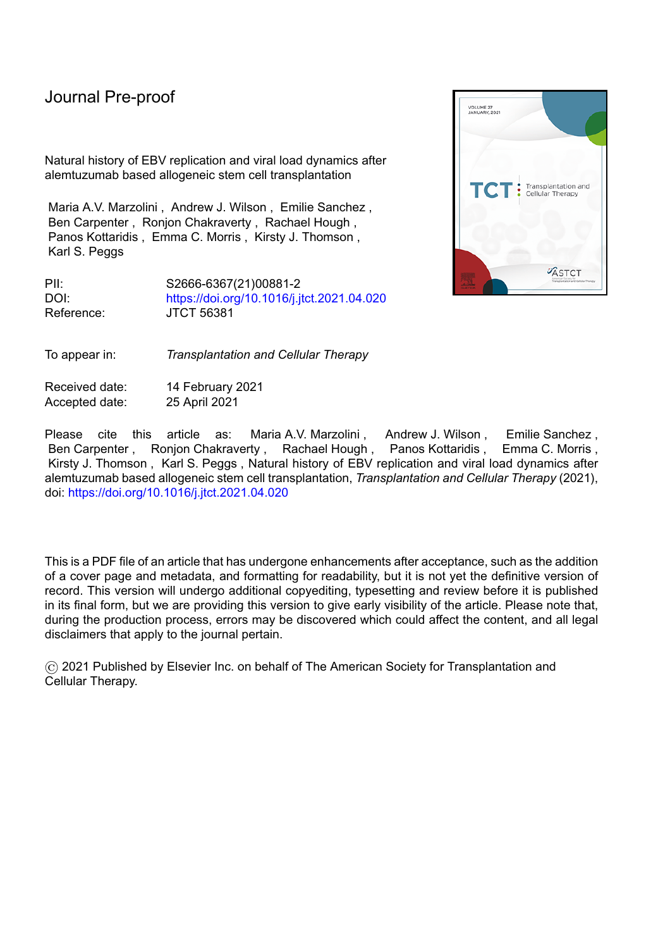192 patients had EBV DNA detectable on  $\geq 1$  occasion, with a cumulative incidence of 35.8% (31.8-40.4%), although this remained below the limit of quantification in 93 patients. Median time to first detection was 89.5 days (0-2254 days). The incidence was higher in sibling donor transplants (45.4% vs 30%, P= 0.00021) when compared to unrelated donor transplants. 20 patients developed EBV-related disease (cumulative incidence 3.9%). Two had immunosuppression reduction alone, 18 received rituximab, and 5 required additional therapies. Five patients died due to PTLD and all five had received rituximab. The positive predictive value of EBV load for disease was higher in the unrelated donor cohort but remained <75% regardless of EBV threshold (57.1-72.7%).

#### **Conclusions:**

The cumulative incidence of EBV-related disease in our study (3.9%) was comparable to other studies incorporating alemtuzumab and our clinical strategy reduced over-treatment in this patient population. There are limitations of PCR-based surveillance strategies as reflected in the relatively low sensitivity of the assay coupled with the low positive predictive value which may influence the potential choice of threshold for pre-emptive intervention. We conclude that it remains unclear whether treatment based on rising EBV viral load alone gives superior overall results to treatment based on the development of clinical signs of EBV-related disease in the context of a rising viral load.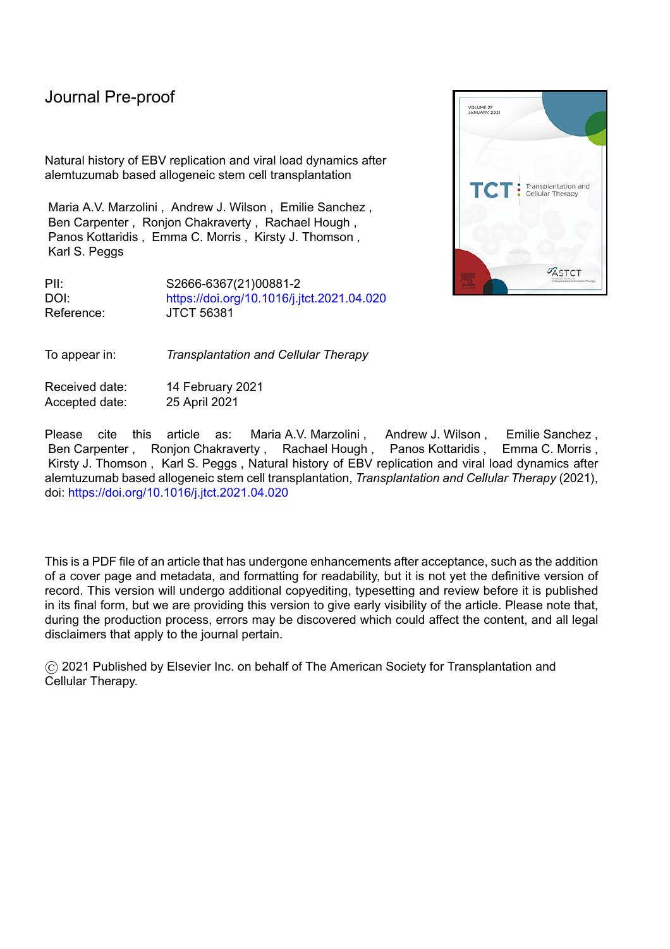**Natural history of EBV replication and viral load dynamics after alemtuzumab based allogeneic** 

**stem cell transplantation**

Maria A.V. Marzolini<sup>1, 2</sup>, Andrew J. Wilson<sup>2</sup>, Emilie Sanchez<sup>3</sup>, Ben Carpenter<sup>2</sup>, Ronjon Chakraverty<sup>2</sup>, Rachael Hough<sup>2</sup>, Panos Kottaridis<sup>2</sup>, Emma C. Morris<sup>2</sup>, Kirsty J. Thomson<sup>2</sup>, Karl S. Peggs<sup>1,2</sup> <sup>1</sup>Department of Haematology, UCL Cancer Institute, University College London, London. UK.  $^{2}$ Department of Haematology, University College London Hospitals NHS Foundation Trust, London, UK.

<sup>3</sup>Department of Virology, University College London Hospitals NHS Foundation Trust, London, UK.

#### **Introduction**

Epstein-Barr virus (EBV) is a highly prevalent member of the human gamma-herpesvirus family, infecting up to 90% of individuals by adulthood. The primary infection may manifest clinically as infectious mononucleosis but may also be asymptomatic. Following infection the virus enters a phase of latency, kept quiescent by the host immune system<sup>1</sup> with the major viral reservoir residing within B lymphocytes and the oropharyngeal lymphoid tissues. The immunocompromised state following allogeneic haematopoietic stem cell transplantation (HSCT) predisposes to 'reactivation' from this latent phase<sup>2</sup>, which can cause a rapid EBV-driven B cell proliferation resulting in post-transplant lymphoproliferative disorders (PTLD) or EBV-related disease such as encephalitis, pneumonia and hepatitis.

PTLDs are defined as lymphoid or plasmacytic proliferations developing as a consequence of immunosuppression in allogeneic transplant recipients, and are usually EBV-driven<sup>3</sup>. They are subcategorised into probable or biopsy proven<sup>4</sup>. Their incidence post-allogeneic HSCT is 0.5-17%<sup>5</sup>, the frequency varying according to diagnostic criteria and presence of risk factors, including HLA-mismatch, anti-thymocyte globulin (ATG) usage, graft-versus-host disease (GvHD), age of  $\geq$ 50 years and T-cell depletion of the donor graft<sup>6,7</sup>. Presentations include pyrexia, lymphadenopathy, or extranodal involvement. Current treatment strategies are directed at achieving B cell depletion and restoring the EBV-specific T-cell responses, often by a combination of rituximab and reduced immune suppression. A poor response to rituximab has been associated with age, involvement of extranodal tissue, acute GvHD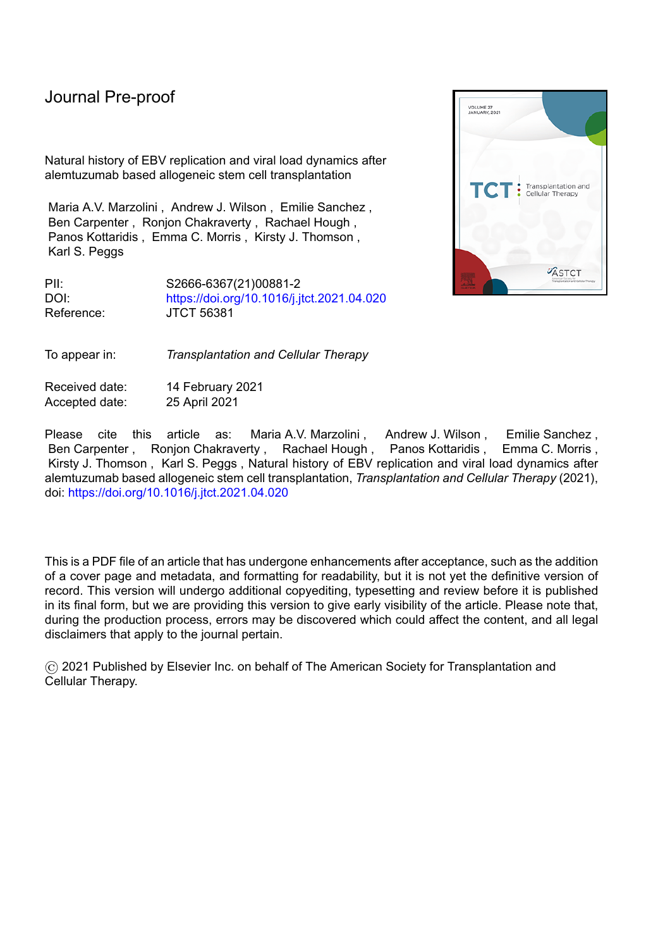and lack of reduction of immunosuppression therapy upon PTLD diagnosis<sup>8</sup>. In rituximab-refractory patients, therapeutic options include systemic chemotherapy, EBV-specific cytotoxic T-cell therapy (CTL) or, in allogeneic HSCT recipients, donor lymphocyte infusions (DLI)<sup>9,10</sup>.

The introduction of EBV DNA load monitoring by quantitative real-time polymerase chain reaction (qPCR) has enabled earlier detection of EBV reactivation, although the enhanced sensitivity of new assays compared to precedents impacts both on reported incidence and potentially also the apparent efficacy of clinical interventions. Intervention at low viral loads may result in treatment of patients whose immune systems would have responded sufficiently to constrain viral replication without treatment. Although the toxicity profile associated with rituximab use is generally modest, it can cause late-onset, prolonged immune-mediated neutropenia, acute infusion reactions, B-cell depletion and an increased risk of infections<sup>11</sup>. A number of studies have investigated pre-emptive treatment strategies based on qPCR, though optimal thresholds for intervention remain unclear<sup>12-17</sup> and evaluation is confounded by differences in PCR measurements between institutions<sup>4</sup>. Recently, the World Health Organization (WHO) International Standard for EBV was developed based on the results of a worldwide collaborative study group, and was released for the standardization of  $qPCR<sup>18</sup>$ . With this standard, comparisons across institutions will become easier.

Our institutional strategy is to treat patients with clinical signs of PTLD/EBV-related disease accompanied by a rising EBV viral load, rather than to intervene solely based on a specific pre-determined viral load. This affords an opportunity to assess the natural history of asymptomatic EBV replication, to evaluate the performance characteristics of the assay, and to examine if this approach reduces over-treatment without compromising patient outcomes. We report the characteristics of 515 consecutive recipients of allogeneic HSCT incorporating alemtuzumab.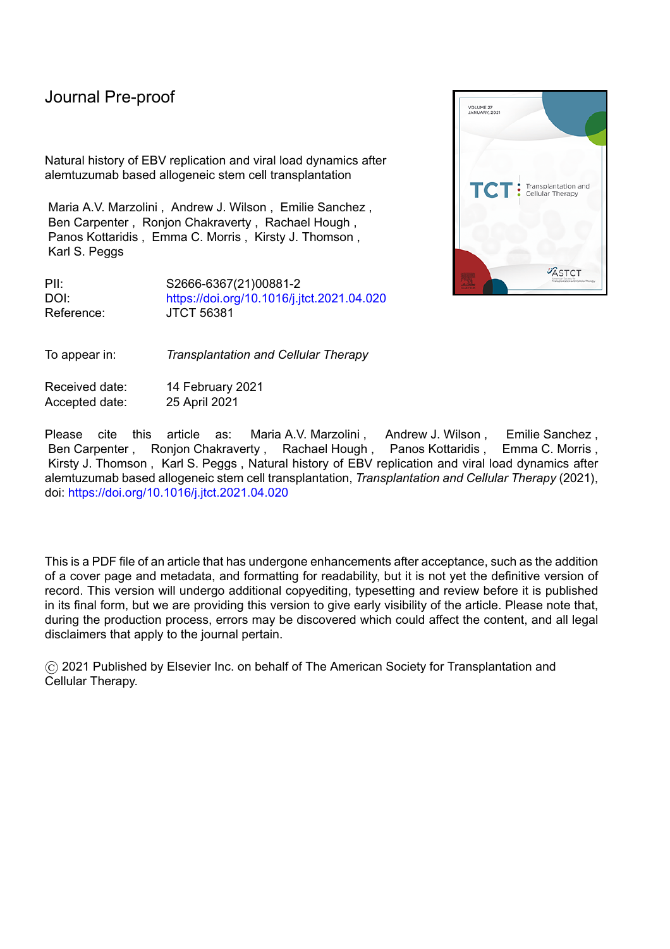#### **Methods**

This was a retrospective, single centre, observational study of consecutive adult patients ( $\geq$ 18 years) treated with T-cell depleted allogeneic HSCT at University College London Hospital (UCLH) between January 2006 and February 2017. Patients received either one of two myeloablative regimens or one of two reduced intensity regimens, incorporating differing dose schedules of alemtuzumab (Table 1). Choice of myeloablative regimen depended on donor source (Cy/TBI for sibling donor and Flu/Cy/TBI for unrelated donor transplants). Choice of reduced intensity regimen depended on underlying disease diagnosis and history of prior autologous transplantation (BEAM-alemtuzumab was used for a subset of transplant-naïve patients with Hodgkin Lymphoma, Diffuse Large B Cell Lymphoma or Mantle Cell Lymphoma). Ciclosporin (CSA) was used as GvHD prophylaxis in all regimens from Day -1, tapered from 2 months post-transplant if there was no evidence of GvHD. All patients received anti-viral prophylaxis with aciclovir (200mg orally bd post-engraftment).

Patients underwent surveillance monitoring for EBV in peripheral blood by qPCR at least weekly up to 100 days post-transplant and longer if they remained on immunosuppressive therapy. EBV surveillance was restarted if they recommenced immunosuppressant therapy. PCR was performed on plasma using the Artus® EBV RG PCR Kit (Qiagen) which targets the *EBNA1* gene. The viral load was quantified if it was equal to or over 200 copies/ml, or was referred to as "below the limit of quantification" (BLQ) if it was detectable but <200 copies/ml. The conversion factor to the WHO standard is 1 copy = 0.17 IU or 1 IU = 5.88 copies ie 200 copies/ml = 34 IU/ml. Patients with detectable EBV DNA were not treated preemptively, and only received treatment if they had clinical features consistent with EBV disease. In these cases, a biopsy was performed wherever feasible and imaging (either CT or PET/CT) was performed for staging and treatment response assessment. In the first instance, immunosuppression was reduced and rituximab (375mg/m<sup>2</sup>) given once per week for 4 weeks. Other therapies were considered in unresponsive cases.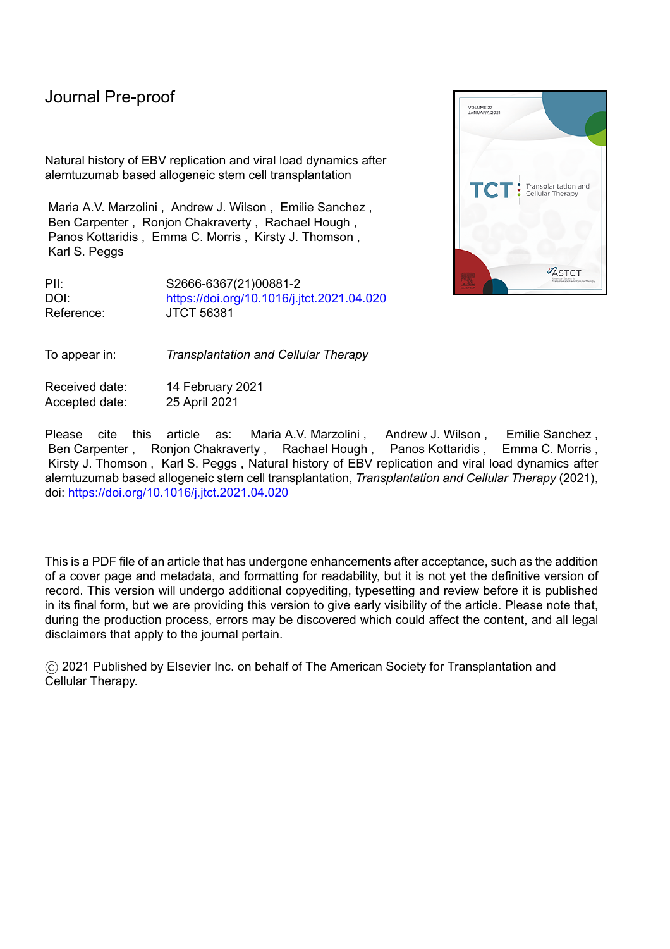Statistical analyses were performed using the NCSS statistical software programme (version 12). Cumulative incidence was calculated by time-to-event analysis. Competing risks were time-to-relapse without EBV reactivation (defined as the time from the date of transplant to the date of relapse without EBV DNA viraemia detected) and time-to-death without EBV reactivation (defined as the time from the date of transplant to the date of death without EBV DNA viraemia detected). Differences in cumulative incidences were assessed using Gray's test. A P value <0.05 was considered statistically significant. Multivariate analysis was performed using Cox regression. EBV PCR assay performance was expressed as sensitivity, specificity, positive and negative predictive value, positive and negative likelihood value and diagnostic odds ratio using the calculator at http://statpages.org/ctab2x2.html. The predictive values related to the development of EBV-related disease.

#### **Results**

#### *Patient Characteristics*

Patient characteristics are shown in Table 2. Median age was 48 years (18-70 years). The majority were treated with reduced intensity conditioning (414/515; 80.4%), FM-Alemtuzumab being the commonest (336/515; 65.2%). The median follow-up was 820 days (range: 21-4249 days).

#### *EBV DNA detection*

EBV DNA was detected in 192/515 patients on at least one occasion, with a cumulative incidence of 35.8% (31.8-40.4%) (Figure 1A). In 93 of these the viral load remained BLQ (200 copies/ml = 34 IU/ml). The median time to first detection was 89.5 days post-transplant (range 0-2254 days) and the median viral load at first detection was BLQ (BLQ  $-$  260000 copies/ml). The median time to the maximum viral load in individual patients was 128.5 days (range 0-2254 days), and the median maximum viral load was 240 copies/ml (range: BLQ-4300000 copies/ml).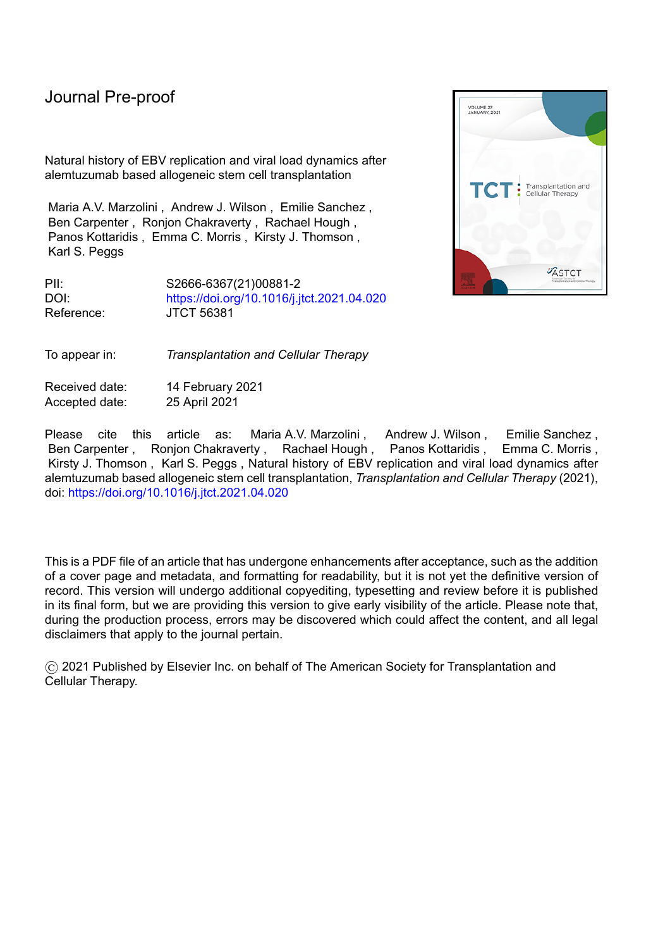The cumulative incidence of a quantifiable PCR was 18.6% (15.5-22.3%) (Figure 1B). In this cohort, the median first positive viral load was also BLQ (BLQ-260000 copies/ml), detected at a median of 81 days (range: 0-1048 days) post-transplant. The median maximum viral load was 3100 copies/ml (range: 200- 430000



detected at a median of 123 days (0 -1930 days) post-transplant.



Figure 1: **Cumulative incidence of EBV detection in blood for the 515 patients.** *Figure 1A*: Cumulative incidence of EBV detection of any EBV level: 35.8% (31.8-40.4%). *Figure 1B*: Cumulative incidence of quantifiable EBV detection: 18.6% (15.5- 22.3%).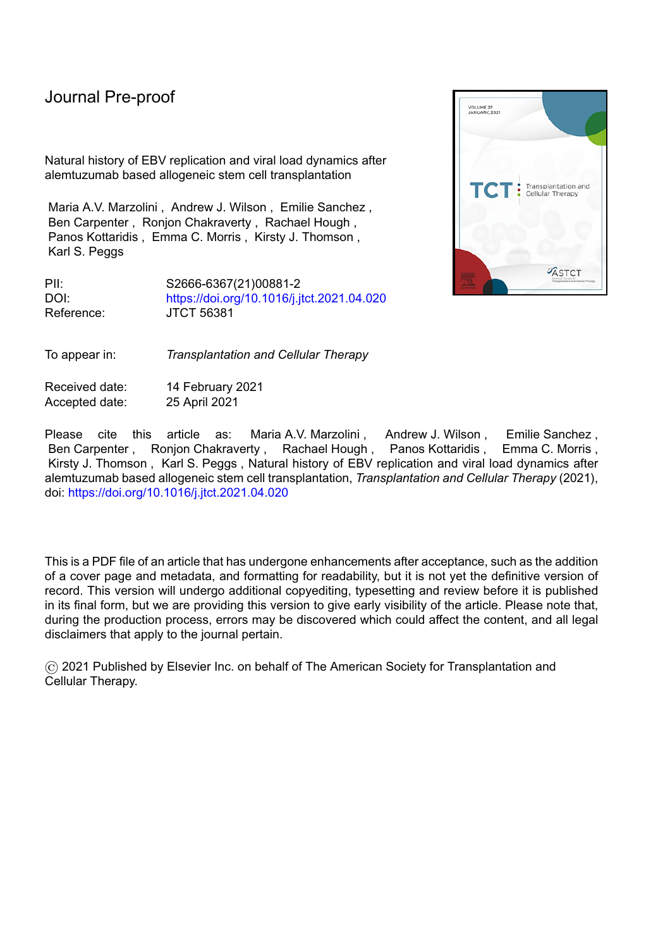#### *Factors associated with EBV DNA detection*

There was no significant difference in the cumulative incidence of EBV detection in patients who received a reduced intensity versus a myeloablative conditioning regimen (data not shown). The cumulative incidence of EBV detection either of any level (Figure 2A) or of a quantifiable level (Figure 2B) was significantly higher in patients who received a sibling- compared to an unrelated-donor allograft (45.4% vs 30.0% respectively, P = 0.00021 for any positive; 27.9% vs 13.0%, P = 0.00002 for EBV>200 copies/ml), with similar values when analyses were restricted to reduced intensity transplants (Figure 2C and 2D).

One potential difference between sibling and unrelated donor cohorts is the dose of alemtuzumab. The optimal dose schedule remains unclear, and we have performed both dose de-escalation studies and inter-institute comparisons to address this issue<sup>19,20</sup> resulting in an overall reduction in dose delivered in the reduced intensity transplant cohort over the study period. Figure 3 shows the cumulative incidence of EBV DNA detection of any positive viral load (Figure 3A) and of a quantifiable viral load (Figure 3B) within the cohort receiving reduced intensity conditioning, analysed according to alemtuzumab dose. Because some dosing cohorts were small, we performed these analyses using 3 groupings: 20-40mg, 50-60mg and 100mg. Alemtuzumab dose conveyed significant differences both for any level of EBV DNA detection (P = 0.0023) and for quantifiable viral loads ( $P = 0.0013$ ) in univariate analyses. Interestingly, higher doses were associated with lower cumulative incidences. Thus, for quantifiable viral loads, the cumulative incidences for 20-40mg, 50-60mg and 100mg doses were 29.9% (95% CI: 22.6-39.5%), 19.7% (95% CI: 12.3-31.5%) and 13.5% (95% CI: 9.7-18.9%) respectively (Figure 3B). Alemtuzumab dose and donor type are, however, correlated variables, since the lower 20-40mg doses were used only in the sibling setting and the majority of the unrelated donor transplant recipients received 100mg (n=213). When the impact alemtuzumab dose on the cumulative incidence of quantifiable EBV load was analysed in the sibling and unrelated donor cohorts independently it failed to reach statistical significance (P = 0.8025 and P = 0.78717 respectively). Likewise, when donor source was used as the grouping variable and analyses performed in the 50-60mg dose and 100mg dose cohorts independently the donor type was not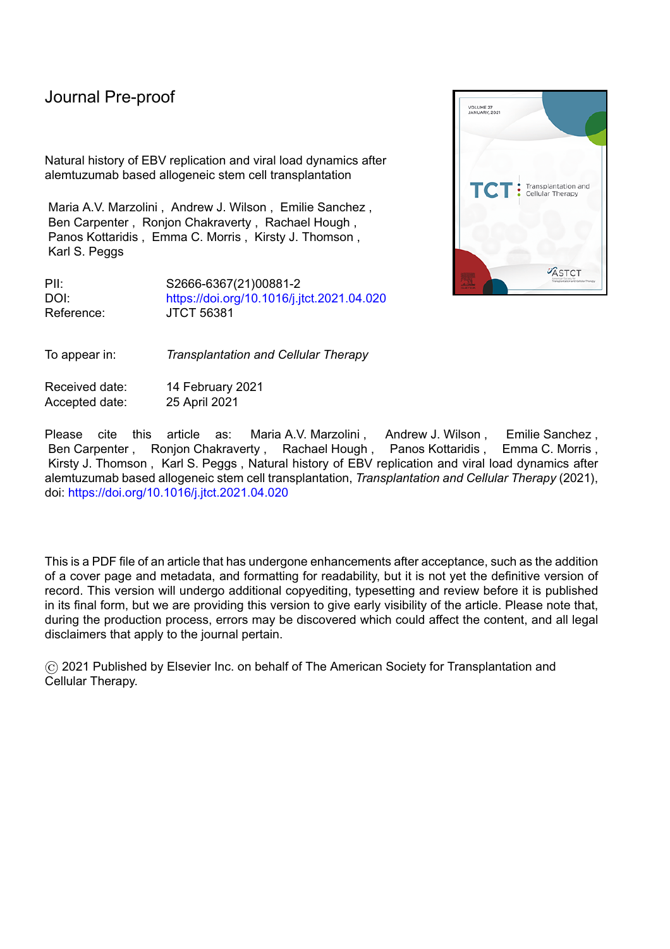# 

| EBV viral load<br>(copies/ml) | <b>Sibling Donor</b>  |                     |                         |                        |                                         |                                        |                                |  |  |  |
|-------------------------------|-----------------------|---------------------|-------------------------|------------------------|-----------------------------------------|----------------------------------------|--------------------------------|--|--|--|
|                               | <b>PPV (%)</b>        | <b>NPV (%)</b>      | Sensitivity (%)         | Specificity (%)        | Positive<br>Likelihood Value<br>$(+LR)$ | Negative<br>Likelihood<br>Value (- LR) | Diagnostic Odds<br>Ratio (DOR) |  |  |  |
|                               |                       |                     |                         |                        |                                         |                                        |                                |  |  |  |
| >60000                        | 28.6 (5.3 $\pm$ 63.5) | 97.3 (96.5 ±98.6)   | $28.6(5.3 \pm 63.5)$    | $(97.3(96.5-98.6))$    | $10.7(1.5 \pm 46.8)$                    | $0.7(0.4 \pm 1.0)$                     | $14.6(1.5 \pm 126.5)$          |  |  |  |
| >50000                        | 37.5 (10.9 ±66.5)     | $97.9(96.7 + 99.1)$ | 42.9 (12.5 $\pm 76.0$ ) | $97.3(96.2 \pm 98.6)$  | 16.1 $(3.3 \pm 53.3)$                   | $0.6(0.2 \pm 0.9)$                     | 27.4 (3.6 ± 218.7)             |  |  |  |
| >40000                        | 37.5 (10.9 ±66.5)     | $97.9(96.7 + 99.1)$ | 42.9 (12.5 $\pm 76.0$ ) | $97.3(96.2 \pm 98.6)$  | 16.1 $(3.3 \pm 53.3)$                   | $0.6(0.2 \pm 0.9)$                     | 27.4 (3.6 ± 218.7)             |  |  |  |
| >30000                        | 30.0 (8.6 $\pm$ 54.2) | $97.8(96.7 + 99.1)$ | 42.9 $(12.3 \pm 77.4)$  | $96.3(95.1 \pm 97.6)$  | $11.5(2.5 \pm 31.8)$                    | $0.6(0.2 \pm 0.9)$                     | $19.4(2.8 \pm 137.5)$          |  |  |  |
| >20000                        | $25.0(9.2 \pm 38.4)$  | 98.3 (96.9 ± 99.5)  | $57.1(21.0 \pm 87.7)$   | $93.6(92.3 \pm 94.8)$  | $9.0(2.7 \pm 16.7)$                     | $0.5(0.1 \pm 0.9)$                     | $19.6(3.2 \pm 128.7)$          |  |  |  |
| >10000                        | $31.6(16.1 \pm 36.6)$ | 99.4 (97.8 ±100)    | 85.7 (43.8 ±99.2)       | 93.1 (91.5 $\pm$ 93.6) | $12.4(5.2 \pm 15.5)$                    | $0.2(0.0 \pm 0.6)$                     | 80.8 (8.4 ±1923.8)             |  |  |  |
|                               |                       |                     |                         |                        |                                         |                                        |                                |  |  |  |
|                               |                       |                     |                         |                        |                                         |                                        | $20^{\circ}$                   |  |  |  |

30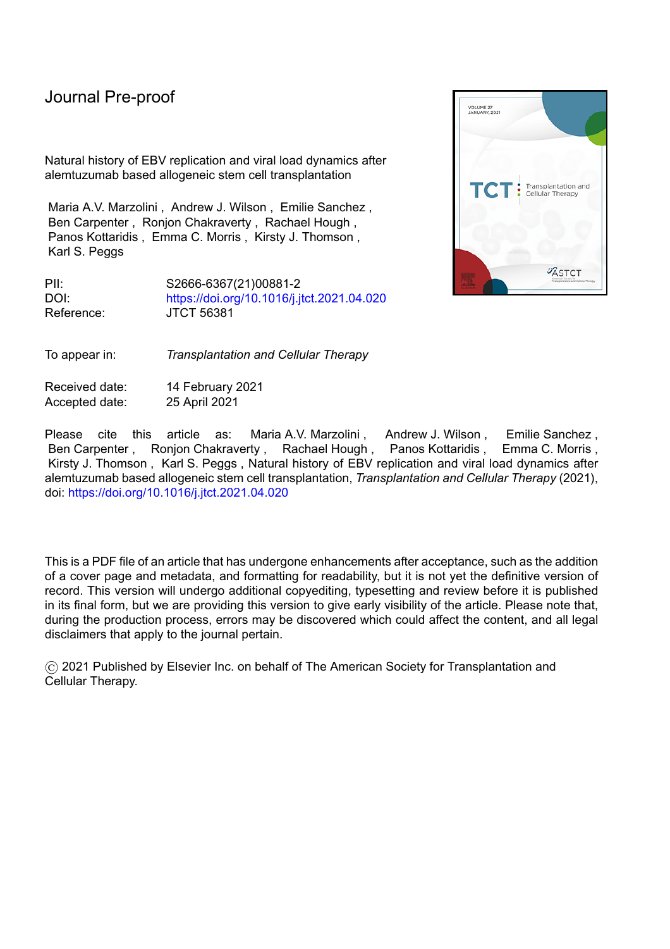#### Pre-proof

| EBV viral load<br>(copies/ml) |                | Unrelated Donor        |                        |                         |                        |                                                |                                        |                                |  |  |  |  |
|-------------------------------|----------------|------------------------|------------------------|-------------------------|------------------------|------------------------------------------------|----------------------------------------|--------------------------------|--|--|--|--|
|                               | <b>PPV (%)</b> |                        | <b>NPV (%)</b>         | Sensitivity (%)         | Specificity (%)        | Positive<br><b>Likelihood Value</b><br>$(+LR)$ | Negative<br>Likelihood<br>Value (- LR) | Diagnostic Odds<br>Ratio (DOR) |  |  |  |  |
| >60000                        |                | 57.1 $(21.2 \pm 87.5)$ | $97.1 (96.3 \pm 97.8)$ | $30.8(11.4 \pm 47.1)$   | 99.0 (98.2 ±99.7)      | $31.5(6.4 \pm 165.3)$                          | $0.7(0.5 \pm 0.9)$                     | 45.0 $(7.0 \pm 311.7)$         |  |  |  |  |
| >50000                        |                | 66.7 (33.1 $\pm$ 90.2) | $97.7(96.8 \pm 98.4)$  | 46.2 (22.9 $\pm$ 62.5)  | $99.0(98.0 \pm 99.7)$  | 47.2 $(11.7 \pm 217.6)$                        | $0.5(0.4 \pm 0.8)$                     | 86.9 (14.9 ± 577.8)            |  |  |  |  |
| >40000                        |                | 66.7 (33.1 $\pm$ 90.2) | $97.7(96.8 \pm 98.4)$  | 46.2 (22.9 $\pm$ 62.5)  | $99.0(98.0 \pm 99.7)$  | 47.2 $(11.7 \pm 217.6)$                        | $0.5(0.4 \pm 0.8)$                     | 86.9 (14.9 ± 577.8)            |  |  |  |  |
| >30000                        |                | $72.7(42.9 \pm 91.7)$  | $98.4(97.3 \pm 99.1)$  | 61.5 (36.3 $\pm 77.6$ ) | $99.0(98.0 + 99.7)$    | 63.0 (17.7 $\pm$ 259.4)                        | $0.4(0.2 \pm 0.7)$                     | 162.1 (27.2 ±1152.2)           |  |  |  |  |
| >20000                        |                | $71.4(46.9 \pm 86.0)$  | $99.0(97.9 \pm 99.7)$  | 76.9 (50.5 ±92.6)       | $98.7(97.6 \pm 99.4)$  | $59.0(20.8 \pm 144.6)$                         | $0.2(0.1 \pm 0.5)$                     | 252.5 (41.1 ±1934.9)           |  |  |  |  |
| >10000                        |                | 66.7 (43.4 $\pm$ 80.6) | $99.0(97.9 \pm 99.7)$  | $76.9(50.1 \pm 93.0)$   | 98.4 (97.2 $\pm$ 99.1) | 47.2 (18.1 $\pm$ 98.0)                         | $0.2(0.1 \pm 0.5)$                     | $201.3(35.2 \pm 1382.4)$       |  |  |  |  |

Table 4. The positive predictive value (PPV), negative predictive value (NPV), sensitivity, specificity, positive (+LR) and negative (-LR) likelihood value and diagnostic odds ratio (DOR) of EBV viral load values of predicting EBV-related disease in sibling and unrelated donors. 95% Confidence Intervals are shown in parentheses.

31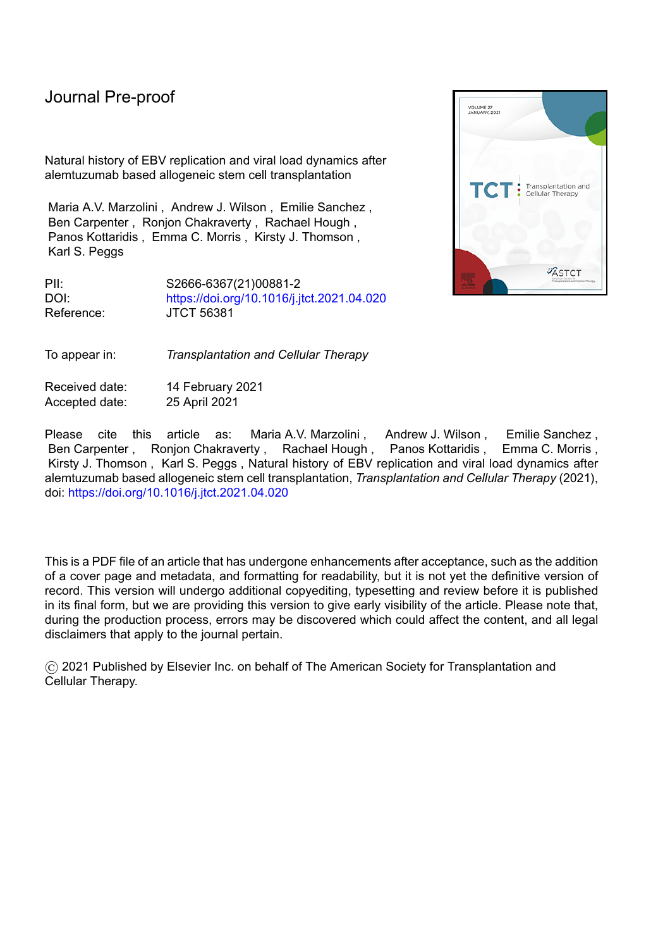**Supplemental data: abbreviated clinical history details of the 5 patients with PTLD-related deaths**

Case 2 presented with diarrhoea, rash, lymphadenopathy, confusion, limb weakness, fever and jaundice. He was treated for GvHD with steroids. He subsequently developed multi-organ failure. A post-mortem confirmed PTLD as a cause of death. He received rituximab 2 days following a load of 77,000 copies/ml (9 days following a viral load of 15,000 copies/ml) but died the following day.

Case 3 presented with fever and diarrhoea with a rising EBV load. His immunosuppression was reduced, and he received rituximab 2 days following a viral load of 40000 copies/ml. He subsequently developed multi-organ failure and died. A post-mortem confirmed PTLD as a cause of death.

Case 4 presented with fevers and a respiratory tract infection with rising EBV load. Immunosuppression was reduced, and he received rituximab 5 days following a viral load of 68,000 copies/ml. His clinical course was complicated by a large gastrointestinal bleed, infective complications and hypoadrenalism. A post-mortem confirmed PTLD as a contributory cause of death.

Case 5 presented with abdominal pain and diarrhoea. A PET scan showed bowel disease; a biopsy confirmed PTLD. He was given rituximab and steroids but developed a bowel perforation and multiple gastrointestinal bleeds. His EBV load did not rise higher than 2300 copies/ml and he received rituximab 27 days before his death.

Case 13 presented with a dry cough and right-sided cervical lymphadenopathy in the context of a rising EBV viral load. She had recently been diagnosed with pulmonary graft-versus-host disease and was taking a weaning dose of prednisolone at the time of her PTLD diagnosis. A PET/CT scan confirmed lymphadenopathy above and below the diaphragm. She had refractory PTLD and received multiple lines of therapy. Notably, the illness was particularly protracted with the time from first rituximab to death being 438 days.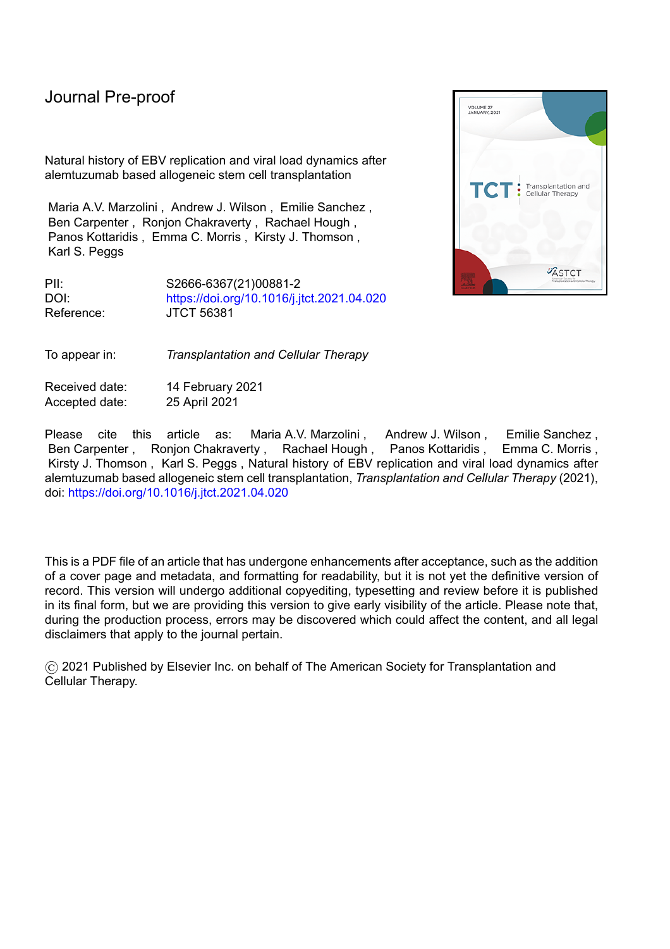

**Supplemental Figure S1:** The maximum EBV viral load. The median maximum EBV viral load measured for the patients with EBV-related disease (60000 copies/ml [2300 - 1300000]) was significantly higher than for the patients who did not develop EBV-related disease (1700 copies/ml [200 - 260000]) (P<0.0001).

33